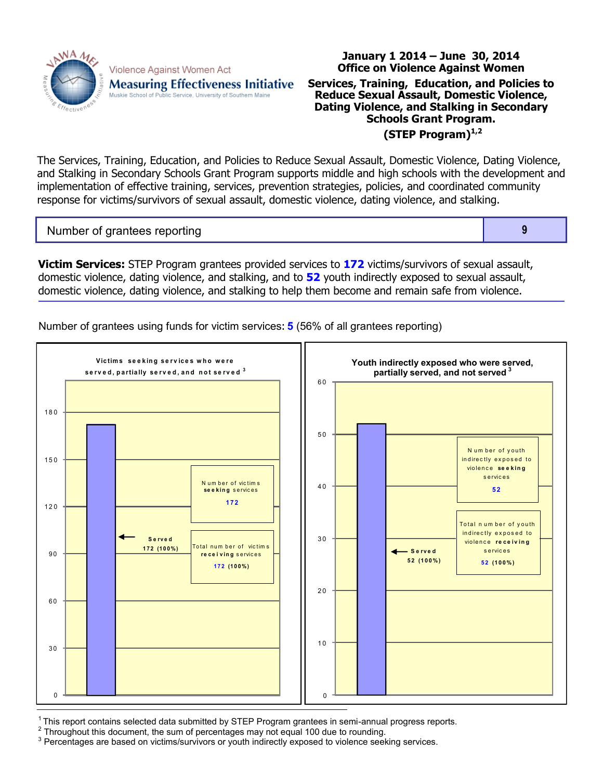

Violence Against Women Act **Measuring Effectiveness Initiative** Muskie School of Public Service, University of Southern Maine

## **Office on Violence Against Women Services, Training, Education, and Policies to Reduce Sexual Assault, Domestic Violence, Dating Violence, and Stalking in Secondary Schools Grant Program. (STEP Program)1,2**

**January 1 2014 – June 30, 2014**

The Services, Training, Education, and Policies to Reduce Sexual Assault, Domestic Violence, Dating Violence, and Stalking in Secondary Schools Grant Program supports middle and high schools with the development and implementation of effective training, services, prevention strategies, policies, and coordinated community response for victims/survivors of sexual assault, domestic violence, dating violence, and stalking.

Number of grantees reporting **9** 

**Victim Services:** STEP Program grantees provided services to **172** victims/survivors of sexual assault, domestic violence, dating violence, and stalking, and to **52** youth indirectly exposed to sexual assault, domestic violence, dating violence, and stalking to help them become and remain safe from violence.

Number of grantees using funds for victim services**: 5** (56% of all grantees reporting)



 $1$ This report contains selected data submitted by STEP Program grantees in semi-annual progress reports.

 $2$  Throughout this document, the sum of percentages may not equal 100 due to rounding.

<sup>3</sup> Percentages are based on victims/survivors or youth indirectly exposed to violence seeking services.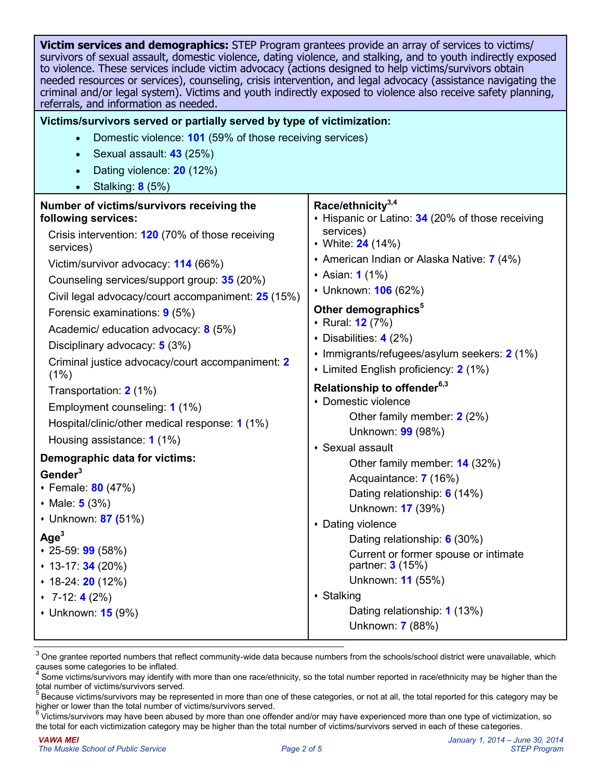| <b>Victim services and demographics:</b> STEP Program grantees provide an array of services to victims/<br>survivors of sexual assault, domestic violence, dating violence, and stalking, and to youth indirectly exposed<br>to violence. These services include victim advocacy (actions designed to help victims/survivors obtain<br>needed resources or services), counseling, crisis intervention, and legal advocacy (assistance navigating the<br>criminal and/or legal system). Victims and youth indirectly exposed to violence also receive safety planning,<br>referrals, and information as needed. |                                                                                                                                                                                                                                                                                                                                                                                                                                                                                                        |  |  |  |  |  |
|----------------------------------------------------------------------------------------------------------------------------------------------------------------------------------------------------------------------------------------------------------------------------------------------------------------------------------------------------------------------------------------------------------------------------------------------------------------------------------------------------------------------------------------------------------------------------------------------------------------|--------------------------------------------------------------------------------------------------------------------------------------------------------------------------------------------------------------------------------------------------------------------------------------------------------------------------------------------------------------------------------------------------------------------------------------------------------------------------------------------------------|--|--|--|--|--|
|                                                                                                                                                                                                                                                                                                                                                                                                                                                                                                                                                                                                                | Victims/survivors served or partially served by type of victimization:                                                                                                                                                                                                                                                                                                                                                                                                                                 |  |  |  |  |  |
| Domestic violence: 101 (59% of those receiving services)                                                                                                                                                                                                                                                                                                                                                                                                                                                                                                                                                       |                                                                                                                                                                                                                                                                                                                                                                                                                                                                                                        |  |  |  |  |  |
| Sexual assault: 43 (25%)<br>$\bullet$                                                                                                                                                                                                                                                                                                                                                                                                                                                                                                                                                                          |                                                                                                                                                                                                                                                                                                                                                                                                                                                                                                        |  |  |  |  |  |
| Dating violence: 20 (12%)                                                                                                                                                                                                                                                                                                                                                                                                                                                                                                                                                                                      |                                                                                                                                                                                                                                                                                                                                                                                                                                                                                                        |  |  |  |  |  |
| Stalking: 8 (5%)                                                                                                                                                                                                                                                                                                                                                                                                                                                                                                                                                                                               |                                                                                                                                                                                                                                                                                                                                                                                                                                                                                                        |  |  |  |  |  |
| Number of victims/survivors receiving the<br>following services:<br>Crisis intervention: 120 (70% of those receiving<br>services)<br>Victim/survivor advocacy: 114 (66%)<br>Counseling services/support group: 35 (20%)<br>Civil legal advocacy/court accompaniment: 25 (15%)<br>Forensic examinations: 9 (5%)<br>Academic/ education advocacy: 8 (5%)<br>Disciplinary advocacy: 5 (3%)<br>Criminal justice advocacy/court accompaniment: 2<br>(1%)<br>Transportation: 2 (1%)<br>Employment counseling: 1 (1%)                                                                                                 | Race/ethnicity <sup>3,4</sup><br>+ Hispanic or Latino: 34 (20% of those receiving<br>services)<br>• White: 24 (14%)<br>+ American Indian or Alaska Native: 7 (4%)<br>• Asian: <b>1</b> (1%)<br>• Unknown: <b>106</b> (62%)<br>Other demographics <sup>5</sup><br>◆ Rural: 12 (7%)<br>• Disabilities: $4(2%)$<br>• Immigrants/refugees/asylum seekers: 2 (1%)<br>• Limited English proficiency: 2 (1%)<br>Relationship to offender <sup>6,3</sup><br>• Domestic violence<br>Other family member: 2 (2%) |  |  |  |  |  |
| Hospital/clinic/other medical response: 1 (1%)                                                                                                                                                                                                                                                                                                                                                                                                                                                                                                                                                                 | Unknown: 99 (98%)                                                                                                                                                                                                                                                                                                                                                                                                                                                                                      |  |  |  |  |  |
| Housing assistance: 1 (1%)<br>Demographic data for victims:                                                                                                                                                                                                                                                                                                                                                                                                                                                                                                                                                    | • Sexual assault<br>Other family member: 14 (32%)                                                                                                                                                                                                                                                                                                                                                                                                                                                      |  |  |  |  |  |
| Gender <sup>3</sup><br>• Female: 80 (47%)<br>• Male: $5(3%)$<br>• Unknown: 87 (51%)<br>Age <sup>3</sup><br>$*$ 25-59: <b>99</b> (58%)<br>$\cdot$ 13-17: 34 (20%)<br>$\cdot$ 18-24: <b>20</b> (12%)<br>$\cdot$ 7-12: 4 (2%)<br>• Unknown: <b>15</b> (9%)                                                                                                                                                                                                                                                                                                                                                        | Acquaintance: 7 (16%)<br>Dating relationship: 6 (14%)<br>Unknown: 17 (39%)<br>• Dating violence<br>Dating relationship: 6 (30%)<br>Current or former spouse or intimate<br>partner: 3 (15%)<br>Unknown: 11 (55%)<br>• Stalking<br>Dating relationship: 1 (13%)<br>Unknown: 7 (88%)                                                                                                                                                                                                                     |  |  |  |  |  |

 $3$  One grantee reported numbers that reflect community-wide data because numbers from the schools/school district were unavailable, which causes some categories to be inflated.

<sup>4</sup> Some victims/survivors may identify with more than one race/ethnicity, so the total number reported in race/ethnicity may be higher than the total number of victims/survivors served.

<sup>5</sup>Because victims/survivors may be represented in more than one of these categories, or not at all, the total reported for this category may be higher or lower than the total number of victims/survivors served.

<sup>69000</sup> Find the Linux may have been abused by more than one offender and/or may have experienced more than one type of victimization, so the total for each victimization category may be higher than the total number of victims/survivors served in each of these categories.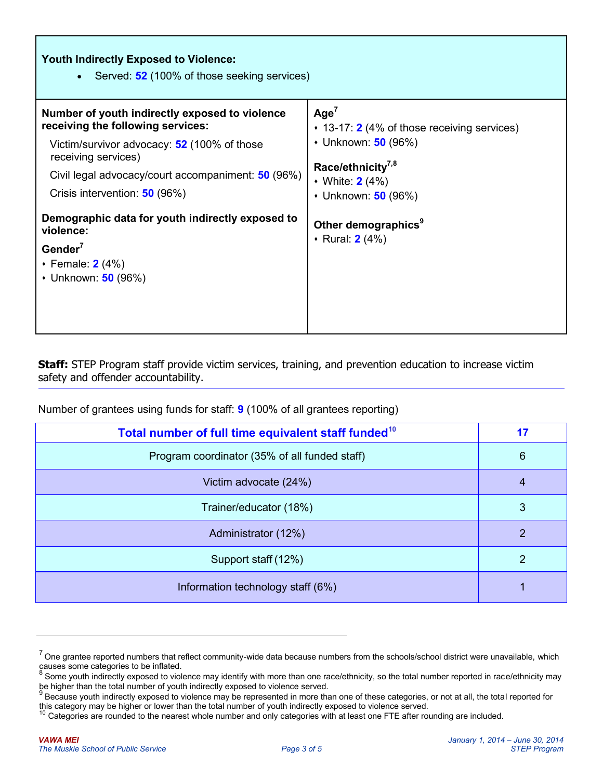| <b>Youth Indirectly Exposed to Violence:</b><br>Served: 52 (100% of those seeking services)<br>$\bullet$                                                                                                                                         |                                                                                                                                                                    |  |  |  |
|--------------------------------------------------------------------------------------------------------------------------------------------------------------------------------------------------------------------------------------------------|--------------------------------------------------------------------------------------------------------------------------------------------------------------------|--|--|--|
| Number of youth indirectly exposed to violence<br>receiving the following services:<br>Victim/survivor advocacy: 52 (100% of those<br>receiving services)<br>Civil legal advocacy/court accompaniment: 50 (96%)<br>Crisis intervention: 50 (96%) | Age <sup>7</sup><br>◆ 13-17: 2 (4% of those receiving services)<br>• Unknown: 50 (96%)<br>Race/ethnicity <sup>7,8</sup><br>• White: $2(4%)$<br>• Unknown: 50 (96%) |  |  |  |
| Demographic data for youth indirectly exposed to<br>violence:<br>Gender $^7$<br>$\cdot$ Female: 2 (4%)<br>• Unknown: 50 (96%)                                                                                                                    | Other demographics <sup>9</sup><br>• Rural: <b>2</b> (4%)                                                                                                          |  |  |  |

**Staff:** STEP Program staff provide victim services, training, and prevention education to increase victim safety and offender accountability.

Number of grantees using funds for staff: **9** (100% of all grantees reporting)

| Total number of full time equivalent staff funded <sup>10</sup> | 17 |
|-----------------------------------------------------------------|----|
| Program coordinator (35% of all funded staff)                   | 6  |
| Victim advocate (24%)                                           | 4  |
| Trainer/educator (18%)                                          | 3  |
| Administrator (12%)                                             | 2  |
| Support staff (12%)                                             | 2  |
| Information technology staff (6%)                               |    |

 $7$  One grantee reported numbers that reflect community-wide data because numbers from the schools/school district were unavailable, which causes some categories to be inflated.<br>8 Came vauth indirectly avanced to viole

Some youth indirectly exposed to violence may identify with more than one race/ethnicity, so the total number reported in race/ethnicity may

be higher than the total number of youth indirectly exposed to violence served.<br><sup>9</sup> Because youth indirectly exposed to violence may be represented in more than one of these categories, or not at all, the total reported fo this category may be higher or lower than the total number of youth indirectly exposed to violence served.

<sup>&</sup>lt;sup>10</sup> Categories are rounded to the nearest whole number and only categories with at least one FTE after rounding are included.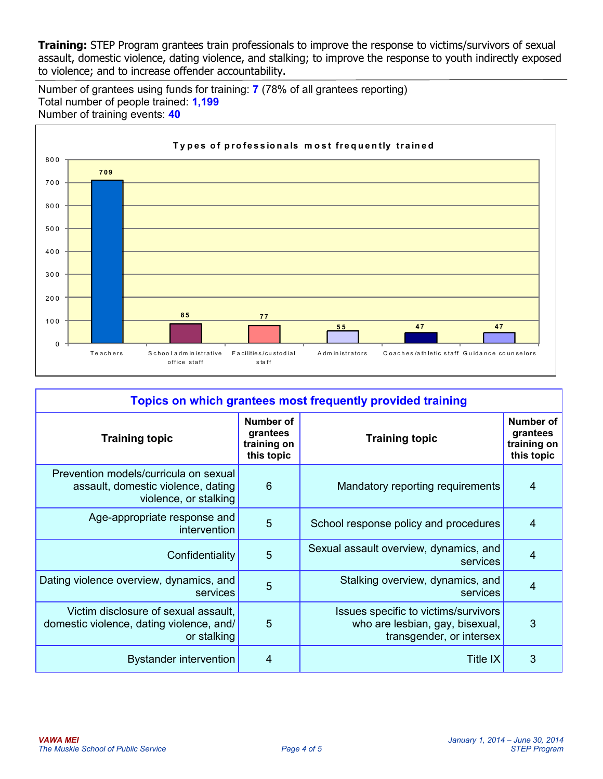**Training:** STEP Program grantees train professionals to improve the response to victims/survivors of sexual assault, domestic violence, dating violence, and stalking; to improve the response to youth indirectly exposed to violence; and to increase offender accountability.

Number of grantees using funds for training: **7** (78% of all grantees reporting) Total number of people trained: **1,199** Number of training events: **40**



| Topics on which grantees most frequently provided training                                           |                                                    |                                                                                                     |                                                    |  |
|------------------------------------------------------------------------------------------------------|----------------------------------------------------|-----------------------------------------------------------------------------------------------------|----------------------------------------------------|--|
| <b>Training topic</b>                                                                                | Number of<br>grantees<br>training on<br>this topic | <b>Training topic</b>                                                                               | Number of<br>grantees<br>training on<br>this topic |  |
| Prevention models/curricula on sexual<br>assault, domestic violence, dating<br>violence, or stalking | 6                                                  | Mandatory reporting requirements                                                                    | $\overline{4}$                                     |  |
| Age-appropriate response and<br>intervention                                                         | 5                                                  | School response policy and procedures                                                               | $\overline{4}$                                     |  |
| Confidentiality                                                                                      | $5\phantom{1}$                                     | Sexual assault overview, dynamics, and<br>services                                                  | $\overline{4}$                                     |  |
| Dating violence overview, dynamics, and<br>services                                                  | 5                                                  | Stalking overview, dynamics, and<br>services                                                        | $\overline{4}$                                     |  |
| Victim disclosure of sexual assault,<br>domestic violence, dating violence, and/<br>or stalking      | $5\overline{5}$                                    | Issues specific to victims/survivors<br>who are lesbian, gay, bisexual,<br>transgender, or intersex | 3                                                  |  |
| <b>Bystander intervention</b>                                                                        | 4                                                  | <b>Title IX</b>                                                                                     | 3                                                  |  |